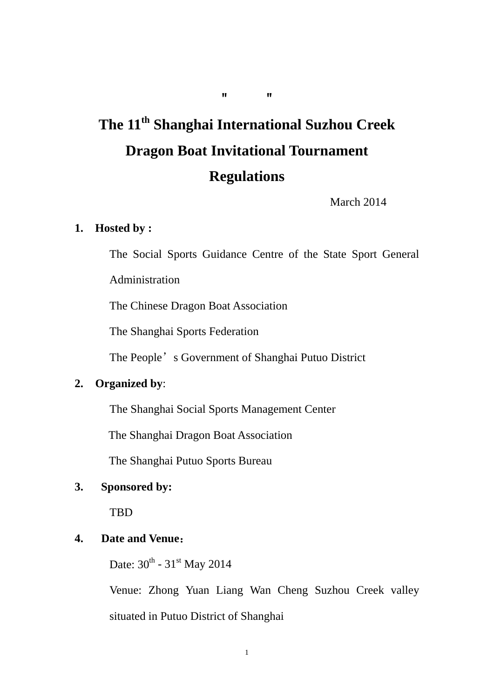# **The 11th Shanghai International Suzhou Creek Dragon Boat Invitational Tournament Regulations**

March 2014

#### **1. Hosted by :**

The Social Sports Guidance Centre of the State Sport General

Administration

The Chinese Dragon Boat Association

The Shanghai Sports Federation

The People's Government of Shanghai Putuo District

### **2. Organized by**:

The Shanghai Social Sports Management Center

The Shanghai Dragon Boat Association

The Shanghai Putuo Sports Bureau

#### **3. Sponsored by:**

TBD

#### **4. Date and Venue**:

Date:  $30^{th}$  -  $31^{st}$  May 2014

 Venue: Zhong Yuan Liang Wan Cheng Suzhou Creek valley situated in Putuo District of Shanghai

""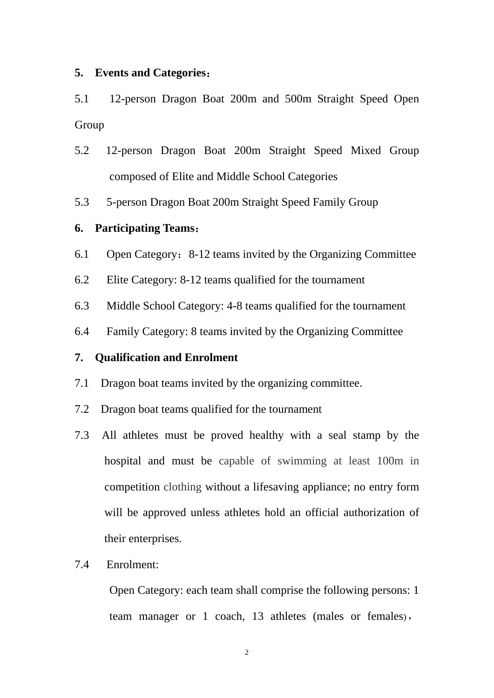#### **5. Events and Categories**:

5.1 12-person Dragon Boat 200m and 500m Straight Speed Open Group

- 5.2 12-person Dragon Boat 200m Straight Speed Mixed Group composed of Elite and Middle School Categories
- 5.3 5-person Dragon Boat 200m Straight Speed Family Group

#### **6. Participating Teams**:

- 6.1 Open Category:8-12 teams invited by the Organizing Committee
- 6.2 Elite Category: 8-12 teams qualified for the tournament
- 6.3 Middle School Category: 4-8 teams qualified for the tournament
- 6.4 Family Category: 8 teams invited by the Organizing Committee

#### **7. Qualification and Enrolment**

- 7.1 Dragon boat teams invited by the organizing committee.
- 7.2 Dragon boat teams qualified for the tournament
- 7.3 All athletes must be proved healthy with a seal stamp by the hospital and must be capable of swimming at least 100m in competition clothing without a lifesaving appliance; no entry form will be approved unless athletes hold an official authorization of their enterprises.

#### 7.4 Enrolment:

Open Category: each team shall comprise the following persons: 1 team manager or 1 coach, 13 athletes (males or females),

2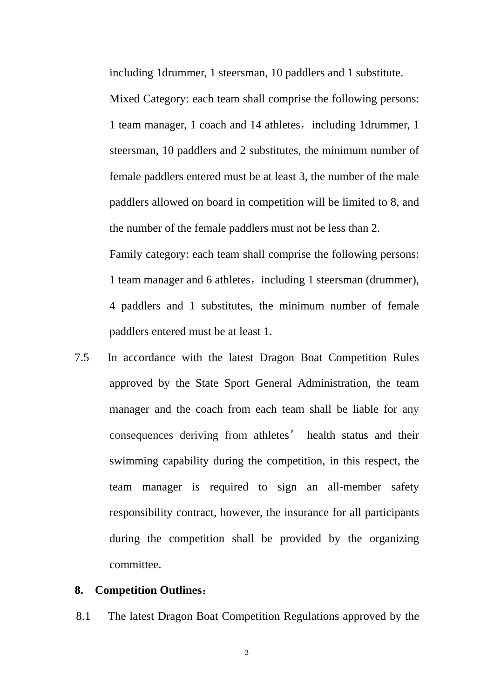including 1drummer, 1 steersman, 10 paddlers and 1 substitute.

Mixed Category: each team shall comprise the following persons: 1 team manager, 1 coach and 14 athletes, including 1drummer, 1 steersman, 10 paddlers and 2 substitutes, the minimum number of female paddlers entered must be at least 3, the number of the male paddlers allowed on board in competition will be limited to 8, and the number of the female paddlers must not be less than 2. Family category: each team shall comprise the following persons: 1 team manager and 6 athletes, including 1 steersman (drummer), 4 paddlers and 1 substitutes, the minimum number of female paddlers entered must be at least 1.

7.5 In accordance with the latest Dragon Boat Competition Rules approved by the State Sport General Administration, the team manager and the coach from each team shall be liable for any consequences deriving from athletes' health status and their swimming capability during the competition, in this respect, the team manager is required to sign an all-member safety responsibility contract, however, the insurance for all participants during the competition shall be provided by the organizing committee.

#### **8. Competition Outlines**:

8.1 The latest Dragon Boat Competition Regulations approved by the

3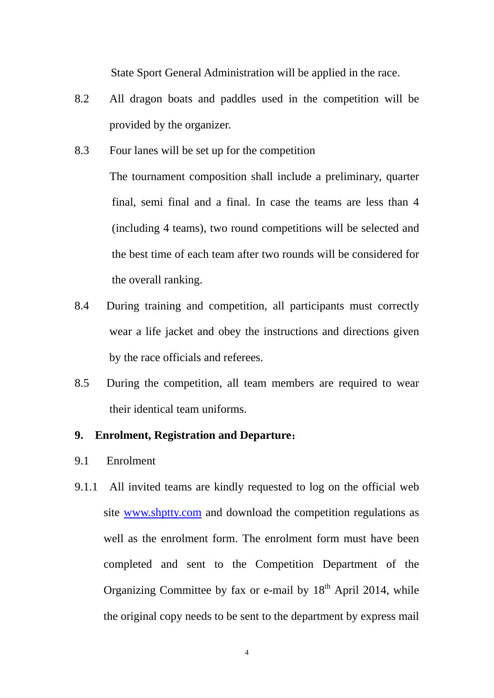State Sport General Administration will be applied in the race.

- 8.2 All dragon boats and paddles used in the competition will be provided by the organizer.
- 8.3 Four lanes will be set up for the competition

 The tournament composition shall include a preliminary, quarter final, semi final and a final. In case the teams are less than 4 (including 4 teams), two round competitions will be selected and the best time of each team after two rounds will be considered for the overall ranking.

- 8.4 During training and competition, all participants must correctly wear a life jacket and obey the instructions and directions given by the race officials and referees.
- 8.5 During the competition, all team members are required to wear their identical team uniforms.

#### **9. Enrolment, Registration and Departure**:

- 9.1 Enrolment
- 9.1.1 All invited teams are kindly requested to log on the official web site www.shptty.com and download the competition regulations as well as the enrolment form. The enrolment form must have been completed and sent to the Competition Department of the Organizing Committee by fax or e-mail by 18<sup>th</sup> April 2014, while the original copy needs to be sent to the department by express mail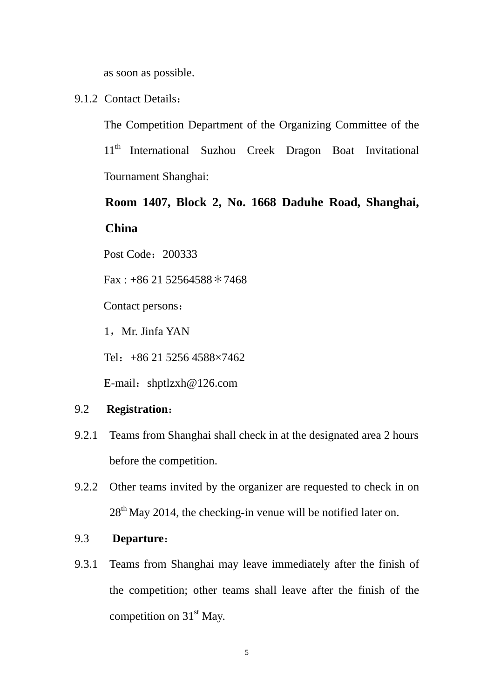as soon as possible.

#### 9.1.2 Contact Details:

The Competition Department of the Organizing Committee of the 11<sup>th</sup> International Suzhou Creek Dragon Boat Invitational Tournament Shanghai:

## **Room 1407, Block 2, No. 1668 Daduhe Road, Shanghai, China**

Post Code: 200333

 $Fax: +862152564588*7468$ 

Contact persons:

1, Mr. Jinfa YAN

Tel:+86 21 5256 4588×7462

E-mail: shptlzxh@126.com

#### 9.2 **Registration**:

- 9.2.1 Teams from Shanghai shall check in at the designated area 2 hours before the competition.
- 9.2.2 Other teams invited by the organizer are requested to check in on  $28<sup>th</sup>$  May 2014, the checking-in venue will be notified later on.

#### 9.3 **Departure**:

9.3.1 Teams from Shanghai may leave immediately after the finish of the competition; other teams shall leave after the finish of the competition on  $31<sup>st</sup>$  May.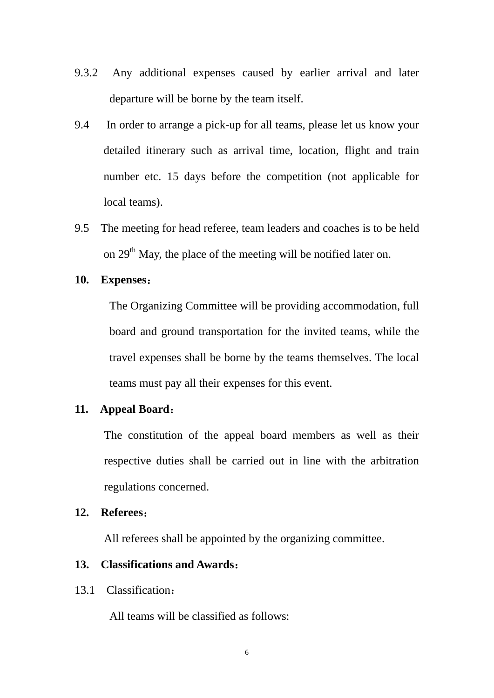- 9.3.2 Any additional expenses caused by earlier arrival and later departure will be borne by the team itself.
- 9.4 In order to arrange a pick-up for all teams, please let us know your detailed itinerary such as arrival time, location, flight and train number etc. 15 days before the competition (not applicable for local teams).
- 9.5 The meeting for head referee, team leaders and coaches is to be held on  $29<sup>th</sup>$  May, the place of the meeting will be notified later on.

#### **10. Expenses**:

The Organizing Committee will be providing accommodation, full board and ground transportation for the invited teams, while the travel expenses shall be borne by the teams themselves. The local teams must pay all their expenses for this event.

#### **11. Appeal Board**:

The constitution of the appeal board members as well as their respective duties shall be carried out in line with the arbitration regulations concerned.

#### **12. Referees**:

All referees shall be appointed by the organizing committee.

#### **13. Classifications and Awards**:

#### 13.1 Classification:

All teams will be classified as follows: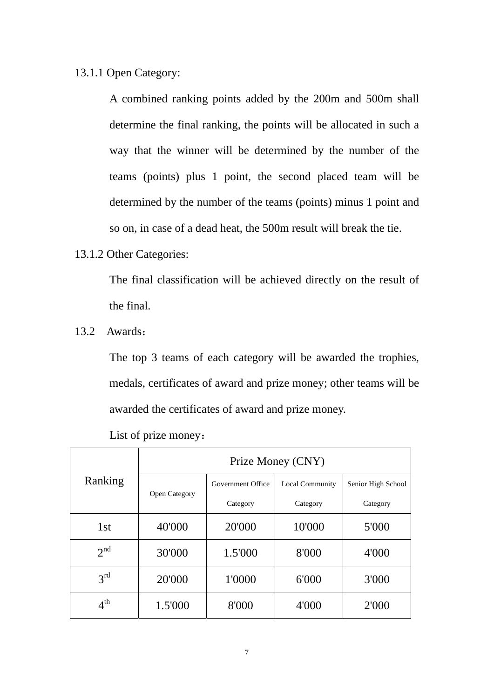#### 13.1.1 Open Category:

A combined ranking points added by the 200m and 500m shall determine the final ranking, the points will be allocated in such a way that the winner will be determined by the number of the teams (points) plus 1 point, the second placed team will be determined by the number of the teams (points) minus 1 point and so on, in case of a dead heat, the 500m result will break the tie.

#### 13.1.2 Other Categories:

The final classification will be achieved directly on the result of the final.

13.2 Awards:

The top 3 teams of each category will be awarded the trophies, medals, certificates of award and prize money; other teams will be awarded the certificates of award and prize money.

| Ranking         | Prize Money (CNY)    |                   |                        |                    |  |  |
|-----------------|----------------------|-------------------|------------------------|--------------------|--|--|
|                 | <b>Open Category</b> | Government Office | <b>Local Community</b> | Senior High School |  |  |
|                 |                      | Category          | Category               | Category           |  |  |
| 1 <sub>st</sub> | 40'000               | 20'000            | 10'000                 | 5'000              |  |  |
| $2^{nd}$        | 30'000               | 1.5'000           | 8'000                  | 4'000              |  |  |
| 3 <sup>rd</sup> | 20'000               | 1'0000            | 6'000                  | 3'000              |  |  |
| $4^{\text{th}}$ | 1.5'000              | 8'000             | 4'000                  | 2'000              |  |  |

List of prize money: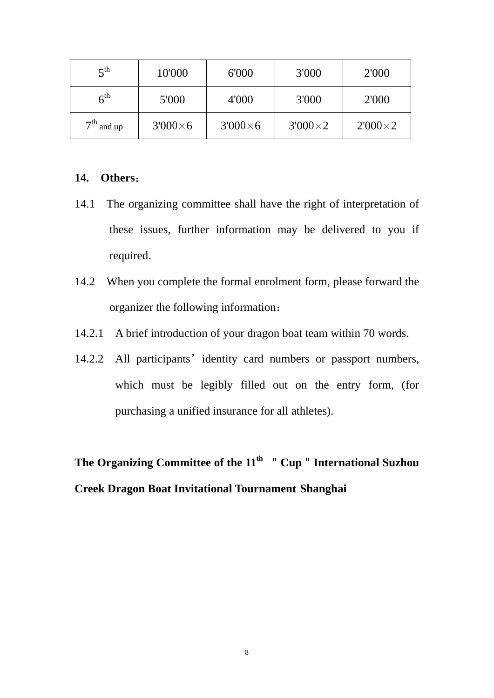| $\mathbf{z}^{\text{th}}$  | 10'000         | 6'000           | 3'000          | 2'000          |
|---------------------------|----------------|-----------------|----------------|----------------|
| $6^{\text{th}}$           | 5'000          | 4'000           | 3'000          | 2'000          |
| 7 <sup>th</sup><br>and up | $3'000\times6$ | $3'000\times 6$ | $3'000\times2$ | $2'000\times2$ |

#### **14. Others**:

- 14.1 The organizing committee shall have the right of interpretation of these issues, further information may be delivered to you if required.
- 14.2 When you complete the formal enrolment form, please forward the organizer the following information:
- 14.2.1 A brief introduction of your dragon boat team within 70 words.
- 14.2.2 All participants' identity card numbers or passport numbers, which must be legibly filled out on the entry form, (for purchasing a unified insurance for all athletes).

The Organizing Committee of the 11<sup>th</sup> " Cup " International Suzhou **Creek Dragon Boat Invitational Tournament Shanghai**